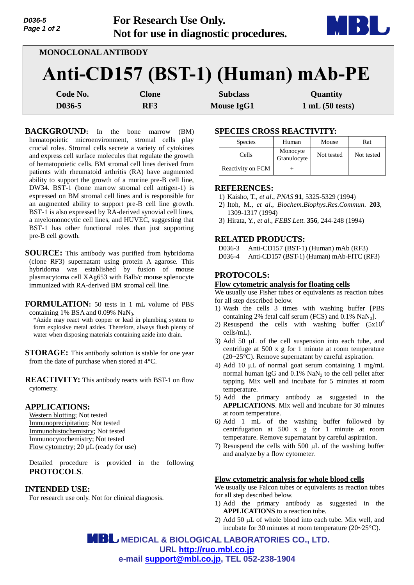| D036-5<br>Page 1 of 2 | For Research Use Only.            | Not for use in diagnostic procedures. | <b>MIBBL.</b>  |
|-----------------------|-----------------------------------|---------------------------------------|----------------|
|                       | <b>MONOCLONAL ANTIBODY</b>        |                                       |                |
|                       | Anti-CD157 (BST-1) (Human) mAb-PE |                                       |                |
| Code No.              | Clone                             | <b>Subclass</b>                       | Quantity       |
| D036-5                | RF3                               | <b>Mouse IgG1</b>                     | 1 mL(50 tests) |

**BACKGROUND:** In the bone marrow (BM) hematopoietic microenvironment, stromal cells play crucial roles. Stromal cells secrete a variety of cytokines and express cell surface molecules that regulate the growth of hematopoietic cells. BM stromal cell lines derived from patients with rheumatoid arthritis (RA) have augmented ability to support the growth of a murine pre-B cell line, DW34. BST-1 (bone marrow stromal cell antigen-1) is expressed on BM stromal cell lines and is responsible for an augmented ability to support pre-B cell line growth. BST-1 is also expressed by RA-derived synovial cell lines, a myelomonocytic cell lines, and HUVEC, suggesting that BST-1 has other functional roles than just supporting pre-B cell growth.

**SOURCE:** This antibody was purified from hybridoma (clone RF3) supernatant using protein A agarose. This hybridoma was established by fusion of mouse plasmacytoma cell XAg653 with Balb/c mouse splenocyte immunized with RA-derived BM stromal cell line.

**FORMULATION:** 50 tests in 1 mL volume of PBS containing 1% BSA and  $0.09\%$  NaN<sub>3</sub>. \*Azide may react with copper or lead in plumbing system to form explosive metal azides. Therefore, always flush plenty of water when disposing materials containing azide into drain.

**STORAGE:** This antibody solution is stable for one year from the date of purchase when stored at 4°C.

**REACTIVITY:** This antibody reacts with BST-1 on flow cytometry.

### **APPLICATIONS:**

Western blotting; Not tested Immunoprecipitation; Not tested Immunohistochemistry; Not tested Immunocytochemistry; Not tested Flow cytometry; 20 µL (ready for use)

Detailed procedure is provided in the following **PROTOCOLS**.

## **INTENDED USE:**

For research use only. Not for clinical diagnosis.

## **SPECIES CROSS REACTIVITY:**

| <b>Species</b>    | Human                   | Mouse      | Rat        |
|-------------------|-------------------------|------------|------------|
| Cells             | Monocyte<br>Granulocyte | Not tested | Not tested |
| Reactivity on FCM |                         |            |            |

## **REFERENCES:**

- 1) Kaisho, T., *et al*., *PNAS* **91**, 5325-5329 (1994)
- 2) Itoh, M., *et al*., *Biochem.Biophys.Res.Commun.* **203**, 1309-1317 (1994)
- 3) Hirata, Y., *et al*., *FEBS Lett.* **356**, 244-248 (1994)

# **RELATED PRODUCTS:**

D036-3 Anti-CD157 (BST-1) (Human) mAb (RF3) D036-4 Anti-CD157 (BST-1) (Human) mAb-FITC (RF3)

# **PROTOCOLS:**

#### **Flow cytometric analysis for floating cells**

We usually use Fisher tubes or equivalents as reaction tubes for all step described below.

- 1) Wash the cells 3 times with washing buffer [PBS containing 2% fetal calf serum (FCS) and  $\overline{0.1\% \text{ Na}N_3}$ .
- 2) Resuspend the cells with washing buffer  $(5x10^6)$ cells/mL).
- 3) Add 50  $\mu$ L of the cell suspension into each tube, and centrifuge at 500 x g for 1 minute at room temperature  $(20~25<sup>o</sup>C)$ . Remove supernatant by careful aspiration.
- 4) Add 10  $\mu$ L of normal goat serum containing 1 mg/mL normal human IgG and  $0.1\%$  NaN<sub>3</sub> to the cell pellet after tapping. Mix well and incubate for 5 minutes at room temperature.
- 5) Add the primary antibody as suggested in the **APPLICATIONS**. Mix well and incubate for 30 minutes at room temperature.
- 6) Add 1 mL of the washing buffer followed by centrifugation at 500 x g for 1 minute at room temperature. Remove supernatant by careful aspiration.
- 7) Resuspend the cells with  $500 \mu L$  of the washing buffer and analyze by a flow cytometer.

#### **Flow cytometric analysis for whole blood cells**

We usually use Falcon tubes or equivalents as reaction tubes for all step described below.

- 1) Add the primary antibody as suggested in the **APPLICATIONS** to a reaction tube.
- 2) Add 50  $\mu$ L of whole blood into each tube. Mix well, and incubate for 30 minutes at room temperature (20~25°C).

 **MEDICAL & BIOLOGICAL LABORATORIES CO., LTD. URL [http://ruo.mbl.co.jp](https://res.mbl.co.jp/) e-mail [support@mbl.co.jp,](mailto:support@mbl.co.jp) TEL 052-238-1904**